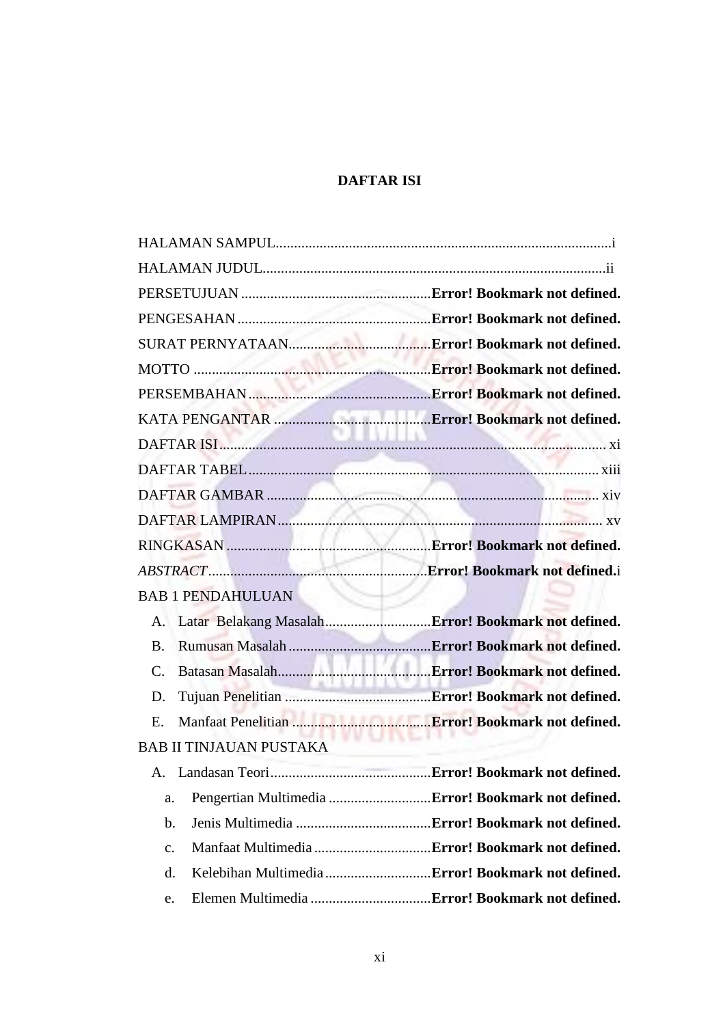## **DAFTAR ISI**

| Pengertian Multimedia Error! Bookmark not defined. |
|----------------------------------------------------|
|                                                    |
|                                                    |
|                                                    |
|                                                    |
|                                                    |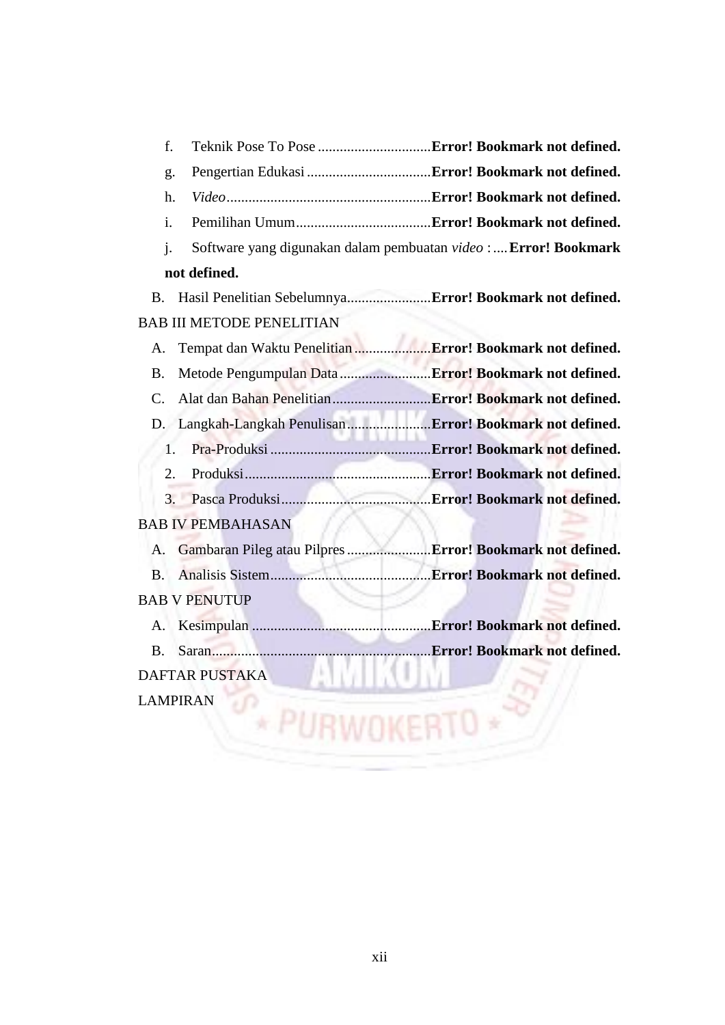| f.                                                                    |                                                                 |
|-----------------------------------------------------------------------|-----------------------------------------------------------------|
| g.                                                                    |                                                                 |
| h.                                                                    |                                                                 |
| $\mathbf{i}$ .                                                        |                                                                 |
| j.                                                                    | Software yang digunakan dalam pembuatan video : Error! Bookmark |
| not defined.                                                          |                                                                 |
| Hasil Penelitian Sebelumnya Error! Bookmark not defined.<br><b>B.</b> |                                                                 |
| <b>BAB III METODE PENELITIAN</b>                                      |                                                                 |
| А.                                                                    |                                                                 |
| Metode Pengumpulan Data  Error! Bookmark not defined.<br><b>B.</b>    |                                                                 |
| $\mathcal{C}$ .                                                       |                                                                 |
|                                                                       |                                                                 |
| 1.                                                                    |                                                                 |
| 2.                                                                    |                                                                 |
|                                                                       |                                                                 |
| <b>BAB IV PEMBAHASAN</b>                                              |                                                                 |
| Gambaran Pileg atau Pilpres  Error! Bookmark not defined.<br>Α.       |                                                                 |
| <b>B.</b>                                                             |                                                                 |
| <b>BAB V PENUTUP</b>                                                  |                                                                 |
| А.                                                                    |                                                                 |
| <b>B.</b>                                                             |                                                                 |
| DAFTAR PUSTAKA                                                        |                                                                 |
| <b>LAMPIRAN</b>                                                       |                                                                 |
|                                                                       |                                                                 |
|                                                                       |                                                                 |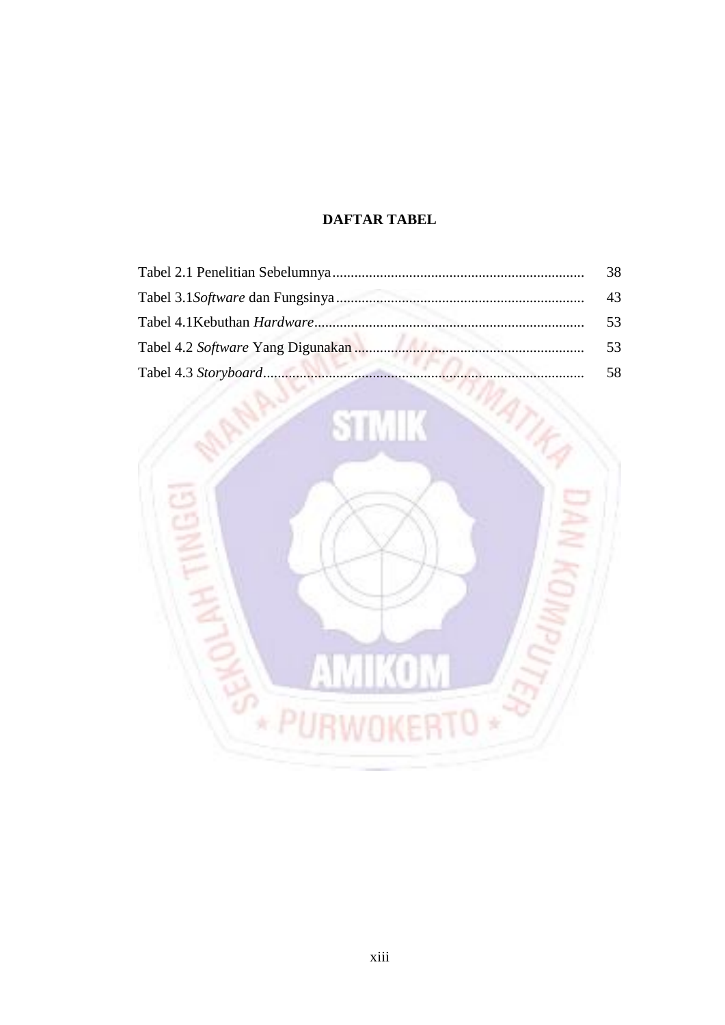## **DAFTAR TABEL**

<span id="page-2-0"></span>

| 38 |
|----|
| 43 |
| 53 |
| 53 |
| 58 |

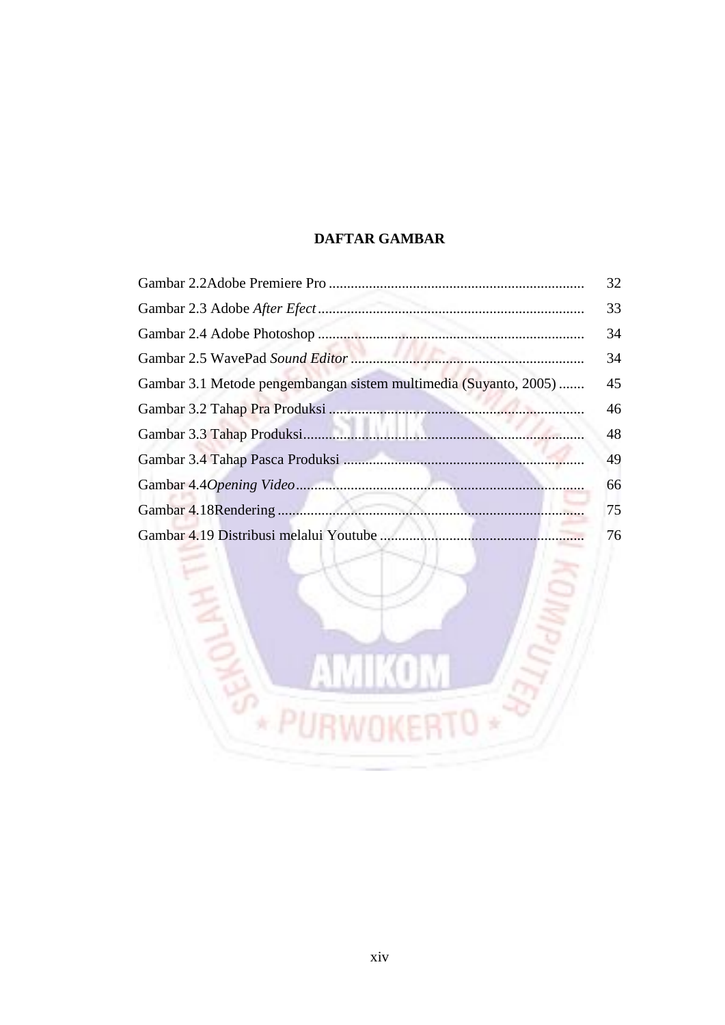## **DAFTAR GAMBAR**

<span id="page-3-0"></span>

|                                                                  | 32 |
|------------------------------------------------------------------|----|
|                                                                  | 33 |
|                                                                  | 34 |
|                                                                  | 34 |
| Gambar 3.1 Metode pengembangan sistem multimedia (Suyanto, 2005) | 45 |
|                                                                  | 46 |
|                                                                  | 48 |
|                                                                  | 49 |
|                                                                  | 66 |
|                                                                  | 75 |
|                                                                  | 76 |

K ï Y

п

Z

RTO \*

ŀ

E

需

**BARK**